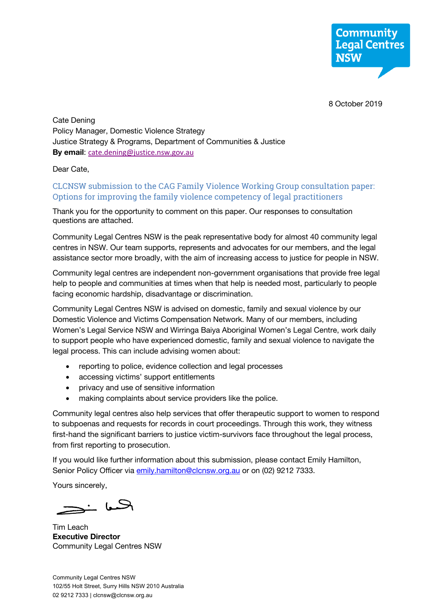8 October 2019

Cate Dening Policy Manager, Domestic Violence Strategy Justice Strategy & Programs, Department of Communities & Justice **By email**: cate.dening@justice.nsw.gov.au

Dear Cate,

## CLCNSW submission to the CAG Family Violence Working Group consultation paper: Options for improving the family violence competency of legal practitioners

Thank you for the opportunity to comment on this paper. Our responses to consultation questions are attached.

Community Legal Centres NSW is the peak representative body for almost 40 community legal centres in NSW. Our team supports, represents and advocates for our members, and the legal assistance sector more broadly, with the aim of increasing access to justice for people in NSW.

Community legal centres are independent non-government organisations that provide free legal help to people and communities at times when that help is needed most, particularly to people facing economic hardship, disadvantage or discrimination.

Community Legal Centres NSW is advised on domestic, family and sexual violence by our Domestic Violence and Victims Compensation Network. Many of our members, including Women's Legal Service NSW and Wirringa Baiya Aboriginal Women's Legal Centre, work daily to support people who have experienced domestic, family and sexual violence to navigate the legal process. This can include advising women about:

- reporting to police, evidence collection and legal processes
- accessing victims' support entitlements
- privacy and use of sensitive information
- making complaints about service providers like the police.

Community legal centres also help services that offer therapeutic support to women to respond to subpoenas and requests for records in court proceedings. Through this work, they witness first-hand the significant barriers to justice victim-survivors face throughout the legal process, from first reporting to prosecution.

If you would like further information about this submission, please contact Emily Hamilton, Senior Policy Officer via emily.hamilton@clcnsw.org.au or on (02) 9212 7333.

Yours sincerely,

الحسا خي

Tim Leach **Executive Director** Community Legal Centres NSW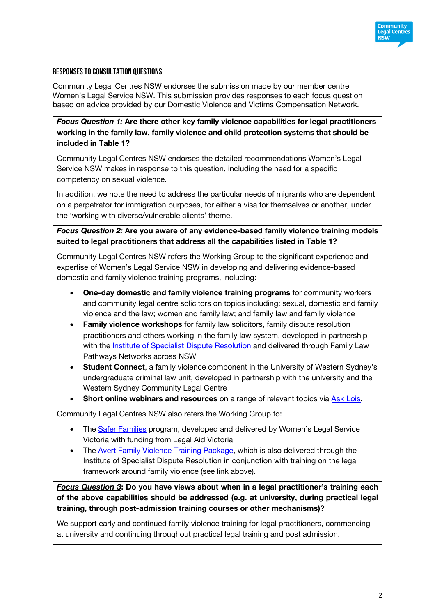

## Responses to consultation questions

Community Legal Centres NSW endorses the submission made by our member centre Women's Legal Service NSW. This submission provides responses to each focus question based on advice provided by our Domestic Violence and Victims Compensation Network.

*Focus Question 1:* **Are there other key family violence capabilities for legal practitioners working in the family law, family violence and child protection systems that should be included in Table 1?**

Community Legal Centres NSW endorses the detailed recommendations Women's Legal Service NSW makes in response to this question, including the need for a specific competency on sexual violence.

In addition, we note the need to address the particular needs of migrants who are dependent on a perpetrator for immigration purposes, for either a visa for themselves or another, under the 'working with diverse/vulnerable clients' theme.

*Focus Question 2:* **Are you aware of any evidence-based family violence training models suited to legal practitioners that address all the capabilities listed in Table 1?**

Community Legal Centres NSW refers the Working Group to the significant experience and expertise of Women's Legal Service NSW in developing and delivering evidence-based domestic and family violence training programs, including:

- **One-day domestic and family violence training programs** for community workers and community legal centre solicitors on topics including: sexual, domestic and family violence and the law; women and family law; and family law and family violence
- **Family violence workshops** for family law solicitors, family dispute resolution practitioners and others working in the family law system, developed in partnership with the Institute of Specialist Dispute Resolution and delivered through Family Law Pathways Networks across NSW
- **Student Connect**, a family violence component in the University of Western Sydney's undergraduate criminal law unit, developed in partnership with the university and the Western Sydney Community Legal Centre
- **Short online webinars and resources** on a range of relevant topics via **Ask Lois**.

Community Legal Centres NSW also refers the Working Group to:

- The Safer Families program, developed and delivered by Women's Legal Service Victoria with funding from Legal Aid Victoria
- The Avert Family Violence Training Package, which is also delivered through the Institute of Specialist Dispute Resolution in conjunction with training on the legal framework around family violence (see link above).

*Focus Question 3***: Do you have views about when in a legal practitioner's training each of the above capabilities should be addressed (e.g. at university, during practical legal training, through post-admission training courses or other mechanisms)?**

We support early and continued family violence training for legal practitioners, commencing at university and continuing throughout practical legal training and post admission.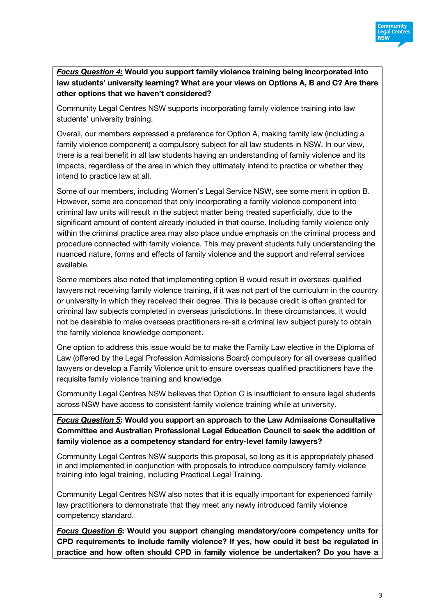

*Focus Question 4***: Would you support family violence training being incorporated into law students' university learning? What are your views on Options A, B and C? Are there other options that we haven't considered?**

Community Legal Centres NSW supports incorporating family violence training into law students' university training.

Overall, our members expressed a preference for Option A, making family law (including a family violence component) a compulsory subject for all law students in NSW. In our view, there is a real benefit in all law students having an understanding of family violence and its impacts, regardless of the area in which they ultimately intend to practice or whether they intend to practice law at all.

Some of our members, including Women's Legal Service NSW, see some merit in option B. However, some are concerned that only incorporating a family violence component into criminal law units will result in the subject matter being treated superficially, due to the significant amount of content already included in that course. Including family violence only within the criminal practice area may also place undue emphasis on the criminal process and procedure connected with family violence. This may prevent students fully understanding the nuanced nature, forms and effects of family violence and the support and referral services available.

Some members also noted that implementing option B would result in overseas-qualified lawyers not receiving family violence training, if it was not part of the curriculum in the country or university in which they received their degree. This is because credit is often granted for criminal law subjects completed in overseas jurisdictions. In these circumstances, it would not be desirable to make overseas practitioners re-sit a criminal law subject purely to obtain the family violence knowledge component.

One option to address this issue would be to make the Family Law elective in the Diploma of Law (offered by the Legal Profession Admissions Board) compulsory for all overseas qualified lawyers or develop a Family Violence unit to ensure overseas qualified practitioners have the requisite family violence training and knowledge.

Community Legal Centres NSW believes that Option C is insufficient to ensure legal students across NSW have access to consistent family violence training while at university.

*Focus Question 5***: Would you support an approach to the Law Admissions Consultative Committee and Australian Professional Legal Education Council to seek the addition of family violence as a competency standard for entry-level family lawyers?**

Community Legal Centres NSW supports this proposal, so long as it is appropriately phased in and implemented in conjunction with proposals to introduce compulsory family violence training into legal training, including Practical Legal Training.

Community Legal Centres NSW also notes that it is equally important for experienced family law practitioners to demonstrate that they meet any newly introduced family violence competency standard.

*Focus Question 6***: Would you support changing mandatory/core competency units for CPD requirements to include family violence? If yes, how could it best be regulated in practice and how often should CPD in family violence be undertaken? Do you have a**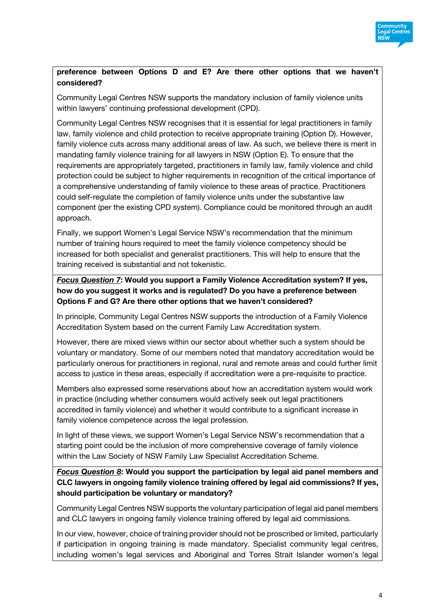

## **preference between Options D and E? Are there other options that we haven't considered?**

Community Legal Centres NSW supports the mandatory inclusion of family violence units within lawyers' continuing professional development (CPD).

Community Legal Centres NSW recognises that it is essential for legal practitioners in family law, family violence and child protection to receive appropriate training (Option D). However, family violence cuts across many additional areas of law. As such, we believe there is merit in mandating family violence training for all lawyers in NSW (Option E). To ensure that the requirements are appropriately targeted, practitioners in family law, family violence and child protection could be subject to higher requirements in recognition of the critical importance of a comprehensive understanding of family violence to these areas of practice. Practitioners could self-regulate the completion of family violence units under the substantive law component (per the existing CPD system). Compliance could be monitored through an audit approach.

Finally, we support Women's Legal Service NSW's recommendation that the minimum number of training hours required to meet the family violence competency should be increased for both specialist and generalist practitioners. This will help to ensure that the training received is substantial and not tokenistic.

*Focus Question 7***: Would you support a Family Violence Accreditation system? If yes, how do you suggest it works and is regulated? Do you have a preference between Options F and G? Are there other options that we haven't considered?**

In principle, Community Legal Centres NSW supports the introduction of a Family Violence Accreditation System based on the current Family Law Accreditation system.

However, there are mixed views within our sector about whether such a system should be voluntary or mandatory. Some of our members noted that mandatory accreditation would be particularly onerous for practitioners in regional, rural and remote areas and could further limit access to justice in these areas, especially if accreditation were a pre-requisite to practice.

Members also expressed some reservations about how an accreditation system would work in practice (including whether consumers would actively seek out legal practitioners accredited in family violence) and whether it would contribute to a significant increase in family violence competence across the legal profession.

In light of these views, we support Women's Legal Service NSW's recommendation that a starting point could be the inclusion of more comprehensive coverage of family violence within the Law Society of NSW Family Law Specialist Accreditation Scheme.

*Focus Question 8***: Would you support the participation by legal aid panel members and CLC lawyers in ongoing family violence training offered by legal aid commissions? If yes, should participation be voluntary or mandatory?**

Community Legal Centres NSW supports the voluntary participation of legal aid panel members and CLC lawyers in ongoing family violence training offered by legal aid commissions.

In our view, however, choice of training provider should not be proscribed or limited, particularly if participation in ongoing training is made mandatory. Specialist community legal centres, including women's legal services and Aboriginal and Torres Strait Islander women's legal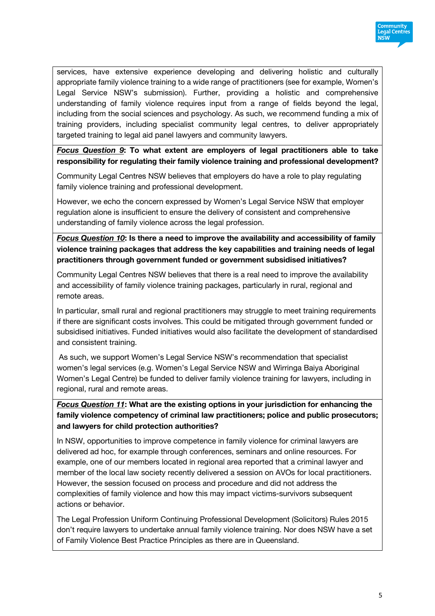

services, have extensive experience developing and delivering holistic and culturally appropriate family violence training to a wide range of practitioners (see for example, Women's Legal Service NSW's submission). Further, providing a holistic and comprehensive understanding of family violence requires input from a range of fields beyond the legal, including from the social sciences and psychology. As such, we recommend funding a mix of training providers, including specialist community legal centres, to deliver appropriately targeted training to legal aid panel lawyers and community lawyers.

*Focus Question 9***: To what extent are employers of legal practitioners able to take responsibility for regulating their family violence training and professional development?**

Community Legal Centres NSW believes that employers do have a role to play regulating family violence training and professional development.

However, we echo the concern expressed by Women's Legal Service NSW that employer regulation alone is insufficient to ensure the delivery of consistent and comprehensive understanding of family violence across the legal profession.

*Focus Question 10***: Is there a need to improve the availability and accessibility of family violence training packages that address the key capabilities and training needs of legal practitioners through government funded or government subsidised initiatives?**

Community Legal Centres NSW believes that there is a real need to improve the availability and accessibility of family violence training packages, particularly in rural, regional and remote areas.

In particular, small rural and regional practitioners may struggle to meet training requirements if there are significant costs involves. This could be mitigated through government funded or subsidised initiatives. Funded initiatives would also facilitate the development of standardised and consistent training.

As such, we support Women's Legal Service NSW's recommendation that specialist women's legal services (e.g. Women's Legal Service NSW and Wirringa Baiya Aboriginal Women's Legal Centre) be funded to deliver family violence training for lawyers, including in regional, rural and remote areas.

*Focus Question 11***: What are the existing options in your jurisdiction for enhancing the family violence competency of criminal law practitioners; police and public prosecutors; and lawyers for child protection authorities?** 

In NSW, opportunities to improve competence in family violence for criminal lawyers are delivered ad hoc, for example through conferences, seminars and online resources. For example, one of our members located in regional area reported that a criminal lawyer and member of the local law society recently delivered a session on AVOs for local practitioners. However, the session focused on process and procedure and did not address the complexities of family violence and how this may impact victims-survivors subsequent actions or behavior.

The Legal Profession Uniform Continuing Professional Development (Solicitors) Rules 2015 don't require lawyers to undertake annual family violence training. Nor does NSW have a set of Family Violence Best Practice Principles as there are in Queensland.